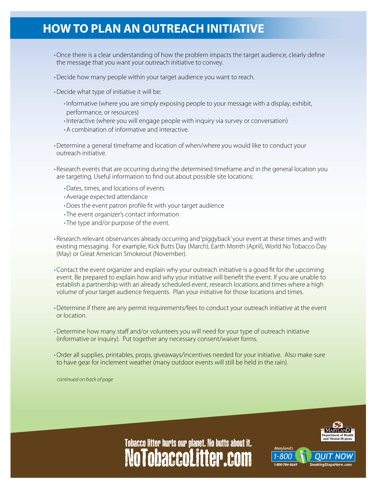## **HOW TO PLAN AN OUTREACH INITIATIVE**

- •Once there is a clear understanding of how the problem impacts the target audience, clearly define the message that you want your outreach initiative to convey.
- •Decide how many people within your target audience you want to reach.
- •Decide what type of initiative it will be:
	- Informative (where you are simply exposing people to your message with a display, exhibit, performance, or resources)
	- Interactive (where you will engage people with inquiry via survey or conversation)
	- A combination of informative and interactive.
- • Determine a general timeframe and location of when/where you would like to conduct your outreach initiative.

• Research events that are occurring during the determined timeframe and in the general location you are targeting. Useful information to find out about possible site locations:

- • Dates, times, and locations of events
- • Average expected attendance
- Does the event patron profile fit with your target audience
- The event organizer's contact information
- The type and/or purpose of the event.
- • Research relevant observances already occurring and 'piggyback' your event at these times and with existing messaging. For example, Kick Butts Day (March), Earth Month (April), World No Tobacco Day (May) or Great American Smokeout (November).
- • Contact the event organizer and explain why your outreach initiative is a good fit for the upcoming event. Be prepared to explain how and why your initiative will benefit the event. If you are unable to establish a partnership with an already scheduled event, research locations and times where a high volume of your target audience frequents. Plan your initiative for those locations and times.
- • Determine if there are any permit requirements/fees to conduct your outreach initiative at the event or location.
- • Determine how many staff and/or volunteers you will need for your type of outreach initiative (informative or inquiry). Put together any necessary consent/waiver forms.
- • Order all supplies, printables, props, giveaways/incentives needed for your initiative. Also make sure to have gear for inclement weather (many outdoor events will still be held in the rain).

*continued on back of page*



Maryland's

## NoTobaccoLitter.com Tobacco litter hurts our planet. No butts about it.